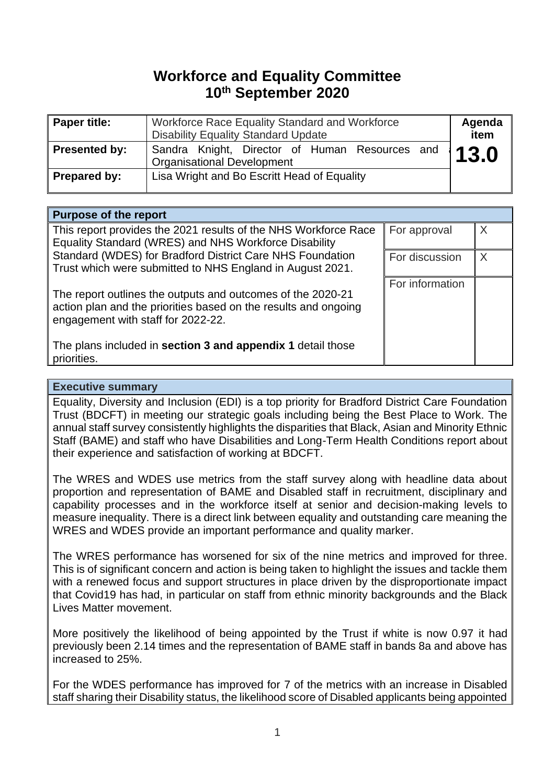# **Workforce and Equality Committee 10th September 2020**

| Paper title:  | Workforce Race Equality Standard and Workforce<br><b>Disability Equality Standard Update</b> | Agenda<br>item |
|---------------|----------------------------------------------------------------------------------------------|----------------|
| Presented by: | Sandra Knight, Director of Human Resources and<br><b>Organisational Development</b>          | 13.0           |
| Prepared by:  | Lisa Wright and Bo Escritt Head of Equality                                                  |                |

#### **Purpose of the report** This report provides the 2021 results of the NHS Workforce Race Equality Standard (WRES) and NHS Workforce Disability Standard (WDES) for Bradford District Care NHS Foundation Trust which were submitted to NHS England in August 2021. The report outlines the outputs and outcomes of the 2020-21 action plan and the priorities based on the results and ongoing engagement with staff for 2022-22. The plans included in **section 3 and appendix 1** detail those priorities. For approval  $\mathbb{X}$ For discussion  $\|$  X For information

#### **Executive summary**

Equality, Diversity and Inclusion (EDI) is a top priority for Bradford District Care Foundation Trust (BDCFT) in meeting our strategic goals including being the Best Place to Work. The annual staff survey consistently highlights the disparities that Black, Asian and Minority Ethnic Staff (BAME) and staff who have Disabilities and Long-Term Health Conditions report about their experience and satisfaction of working at BDCFT.

The WRES and WDES use metrics from the staff survey along with headline data about proportion and representation of BAME and Disabled staff in recruitment, disciplinary and capability processes and in the workforce itself at senior and decision-making levels to measure inequality. There is a direct link between equality and outstanding care meaning the WRES and WDES provide an important performance and quality marker.

The WRES performance has worsened for six of the nine metrics and improved for three. This is of significant concern and action is being taken to highlight the issues and tackle them with a renewed focus and support structures in place driven by the disproportionate impact that Covid19 has had, in particular on staff from ethnic minority backgrounds and the Black Lives Matter movement.

More positively the likelihood of being appointed by the Trust if white is now 0.97 it had previously been 2.14 times and the representation of BAME staff in bands 8a and above has increased to 25%.

For the WDES performance has improved for 7 of the metrics with an increase in Disabled staff sharing their Disability status, the likelihood score of Disabled applicants being appointed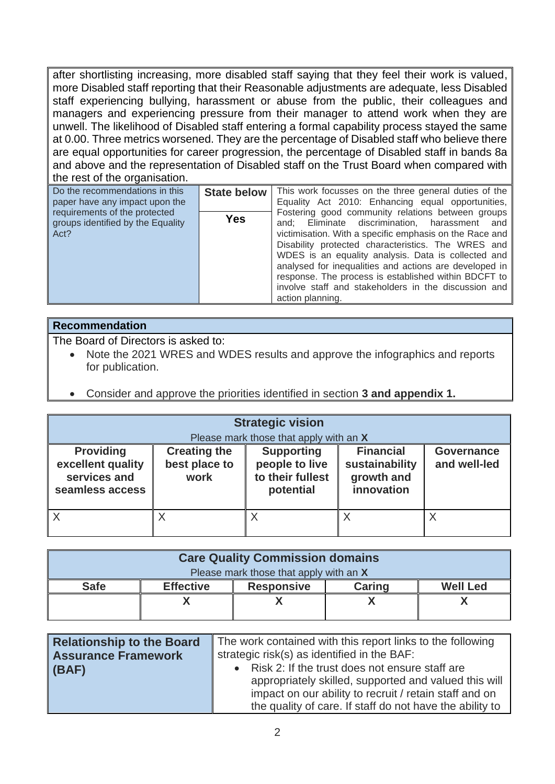after shortlisting increasing, more disabled staff saying that they feel their work is valued, more Disabled staff reporting that their Reasonable adjustments are adequate, less Disabled staff experiencing bullying, harassment or abuse from the public, their colleagues and managers and experiencing pressure from their manager to attend work when they are unwell. The likelihood of Disabled staff entering a formal capability process stayed the same at 0.00. Three metrics worsened. They are the percentage of Disabled staff who believe there are equal opportunities for career progression, the percentage of Disabled staff in bands 8a and above and the representation of Disabled staff on the Trust Board when compared with the rest of the organisation.

| Do the recommendations in this<br>paper have any impact upon the<br>requirements of the protected<br>groups identified by the Equality<br>Act? | <b>State below</b><br><b>Yes</b> | This work focusses on the three general duties of the<br>Equality Act 2010: Enhancing equal opportunities,<br>Fostering good community relations between groups<br>and; Eliminate discrimination, harassment and<br>victimisation. With a specific emphasis on the Race and<br>Disability protected characteristics. The WRES and |
|------------------------------------------------------------------------------------------------------------------------------------------------|----------------------------------|-----------------------------------------------------------------------------------------------------------------------------------------------------------------------------------------------------------------------------------------------------------------------------------------------------------------------------------|
|                                                                                                                                                |                                  | WDES is an equality analysis. Data is collected and<br>analysed for inequalities and actions are developed in<br>response. The process is established within BDCFT to<br>involve staff and stakeholders in the discussion and<br>action planning.                                                                                 |

### **Recommendation**

The Board of Directors is asked to:

- Note the 2021 WRES and WDES results and approve the infographics and reports for publication.
- Consider and approve the priorities identified in section **3 and appendix 1.**

| <b>Strategic vision</b><br>Please mark those that apply with an X        |                                              |                                                                      |                                                                |                                   |
|--------------------------------------------------------------------------|----------------------------------------------|----------------------------------------------------------------------|----------------------------------------------------------------|-----------------------------------|
| <b>Providing</b><br>excellent quality<br>services and<br>seamless access | <b>Creating the</b><br>best place to<br>work | <b>Supporting</b><br>people to live<br>to their fullest<br>potential | <b>Financial</b><br>sustainability<br>growth and<br>innovation | <b>Governance</b><br>and well-led |
| $\mathsf{I} \times$                                                      | Χ                                            |                                                                      | Χ                                                              |                                   |

| <b>Care Quality Commission domains</b> |                  |                   |               |                 |
|----------------------------------------|------------------|-------------------|---------------|-----------------|
| Please mark those that apply with an X |                  |                   |               |                 |
| <b>Safe</b>                            | <b>Effective</b> | <b>Responsive</b> | <b>Caring</b> | <b>Well Led</b> |
|                                        |                  |                   |               |                 |
|                                        |                  |                   |               |                 |

| <b>Relationship to the Board</b> | The work contained with this report links to the following |  |
|----------------------------------|------------------------------------------------------------|--|
| <b>Assurance Framework</b>       | strategic risk(s) as identified in the BAF:                |  |
| $ $ (BAF)                        | Risk 2: If the trust does not ensure staff are             |  |
|                                  | appropriately skilled, supported and valued this will      |  |
|                                  | impact on our ability to recruit / retain staff and on     |  |
|                                  | the quality of care. If staff do not have the ability to   |  |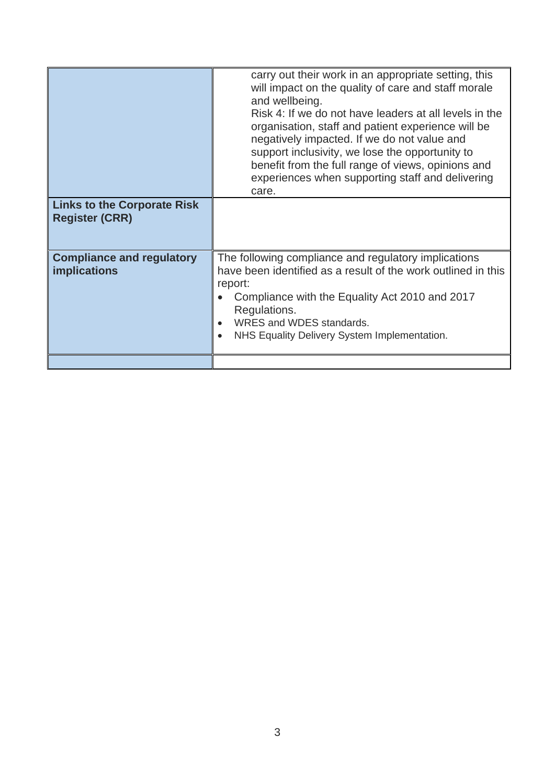|                                                             | carry out their work in an appropriate setting, this<br>will impact on the quality of care and staff morale<br>and wellbeing.<br>Risk 4: If we do not have leaders at all levels in the<br>organisation, staff and patient experience will be<br>negatively impacted. If we do not value and<br>support inclusivity, we lose the opportunity to<br>benefit from the full range of views, opinions and<br>experiences when supporting staff and delivering<br>care. |
|-------------------------------------------------------------|--------------------------------------------------------------------------------------------------------------------------------------------------------------------------------------------------------------------------------------------------------------------------------------------------------------------------------------------------------------------------------------------------------------------------------------------------------------------|
| <b>Links to the Corporate Risk</b><br><b>Register (CRR)</b> |                                                                                                                                                                                                                                                                                                                                                                                                                                                                    |
| <b>Compliance and regulatory</b><br>implications            | The following compliance and regulatory implications<br>have been identified as a result of the work outlined in this<br>report:<br>Compliance with the Equality Act 2010 and 2017<br>Regulations.<br>WRES and WDES standards.<br>NHS Equality Delivery System Implementation.                                                                                                                                                                                     |
|                                                             |                                                                                                                                                                                                                                                                                                                                                                                                                                                                    |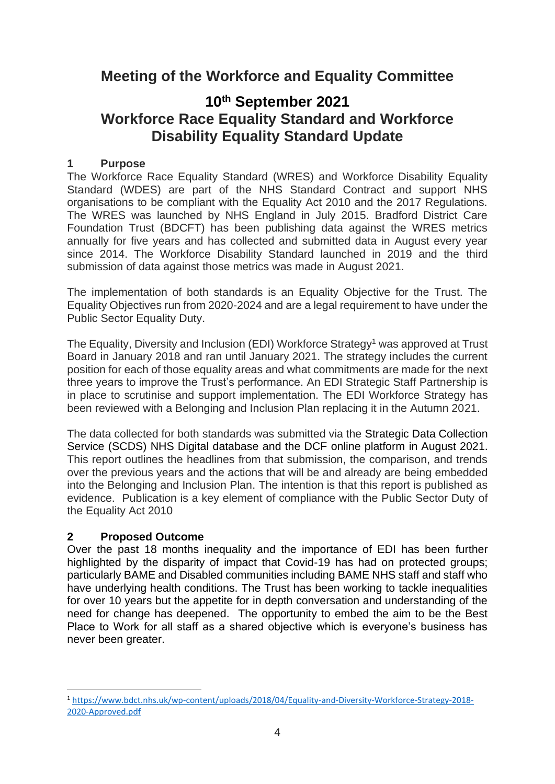## **Meeting of the Workforce and Equality Committee**

## **10th September 2021 Workforce Race Equality Standard and Workforce Disability Equality Standard Update**

### **1 Purpose**

The Workforce Race Equality Standard (WRES) and Workforce Disability Equality Standard (WDES) are part of the NHS Standard Contract and support NHS organisations to be compliant with the Equality Act 2010 and the 2017 Regulations. The WRES was launched by NHS England in July 2015. Bradford District Care Foundation Trust (BDCFT) has been publishing data against the WRES metrics annually for five years and has collected and submitted data in August every year since 2014. The Workforce Disability Standard launched in 2019 and the third submission of data against those metrics was made in August 2021.

The implementation of both standards is an Equality Objective for the Trust. The Equality Objectives run from 2020-2024 and are a legal requirement to have under the Public Sector Equality Duty.

The Equality, Diversity and Inclusion (EDI) Workforce Strategy<sup>1</sup> was approved at Trust Board in January 2018 and ran until January 2021. The strategy includes the current position for each of those equality areas and what commitments are made for the next three years to improve the Trust's performance. An EDI Strategic Staff Partnership is in place to scrutinise and support implementation. The EDI Workforce Strategy has been reviewed with a Belonging and Inclusion Plan replacing it in the Autumn 2021.

The data collected for both standards was submitted via the Strategic Data Collection Service (SCDS) NHS Digital database and the DCF online platform in August 2021. This report outlines the headlines from that submission, the comparison, and trends over the previous years and the actions that will be and already are being embedded into the Belonging and Inclusion Plan. The intention is that this report is published as evidence. Publication is a key element of compliance with the Public Sector Duty of the Equality Act 2010

### **2 Proposed Outcome**

Over the past 18 months inequality and the importance of EDI has been further highlighted by the disparity of impact that Covid-19 has had on protected groups; particularly BAME and Disabled communities including BAME NHS staff and staff who have underlying health conditions. The Trust has been working to tackle inequalities for over 10 years but the appetite for in depth conversation and understanding of the need for change has deepened. The opportunity to embed the aim to be the Best Place to Work for all staff as a shared objective which is everyone's business has never been greater.

<sup>1</sup> [https://www.bdct.nhs.uk/wp-content/uploads/2018/04/Equality-and-Diversity-Workforce-Strategy-2018-](https://www.bdct.nhs.uk/wp-content/uploads/2018/04/Equality-and-Diversity-Workforce-Strategy-2018-2020-Approved.pdf) [2020-Approved.pdf](https://www.bdct.nhs.uk/wp-content/uploads/2018/04/Equality-and-Diversity-Workforce-Strategy-2018-2020-Approved.pdf)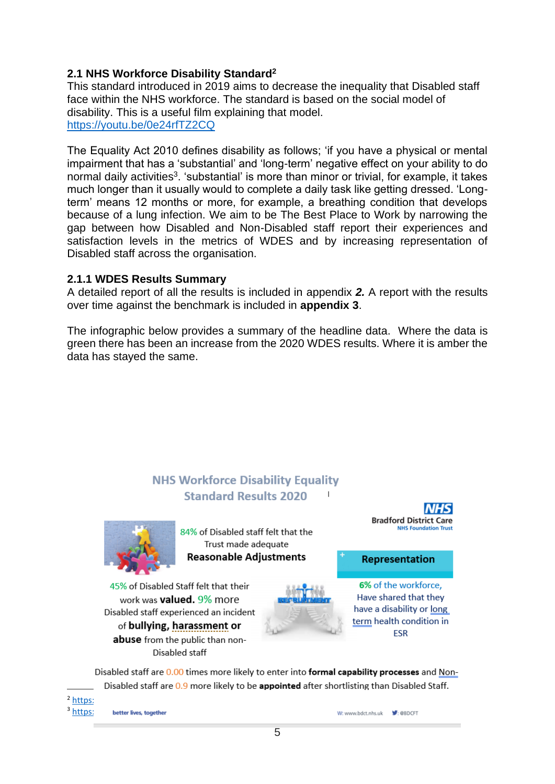### **2.1 NHS Workforce Disability Standard<sup>2</sup>**

This standard introduced in 2019 aims to decrease the inequality that Disabled staff face within the NHS workforce. The standard is based on the social model of disability. This is a useful film explaining that model. <https://youtu.be/0e24rfTZ2CQ>

The Equality Act 2010 defines disability as follows; 'if you have a physical or mental impairment that has a 'substantial' and 'long-term' negative effect on your ability to do normal daily activities<sup>3</sup>. 'substantial' is more than minor or trivial, for example, it takes much longer than it usually would to complete a daily task like getting dressed. 'Longterm' means 12 months or more, for example, a breathing condition that develops because of a lung infection. We aim to be The Best Place to Work by narrowing the gap between how Disabled and Non-Disabled staff report their experiences and satisfaction levels in the metrics of WDES and by increasing representation of Disabled staff across the organisation.

#### **2.1.1 WDES Results Summary**

A detailed report of all the results is included in appendix *2.* A report with the results over time against the benchmark is included in **appendix 3**.

The infographic below provides a summary of the headline data. Where the data is green there has been an increase from the 2020 WDES results. Where it is amber the data has stayed the same.

## **NHS Workforce Disability Equality Standard Results 2020**



84% of Disabled staff felt that the Trust made adequate **Reasonable Adjustments** 



**Representation** 

45% of Disabled Staff felt that their work was **valued.** 9% more Disabled staff experienced an incident of bullying, harassment or abuse from the public than non-Disabled staff



6% of the workforce. Have shared that they have a disability or long term health condition in ESR

Disabled staff are 0.00 times more likely to enter into formal capability processes and Non-Disabled staff are 0.9 more likely to be appointed after shortlisting than Disabled Staff.

 $<sup>2</sup>$  https:</sup>

 $3$  https://www.better-lives, together

W: www.bdct.nhs.uk V: @BDCFT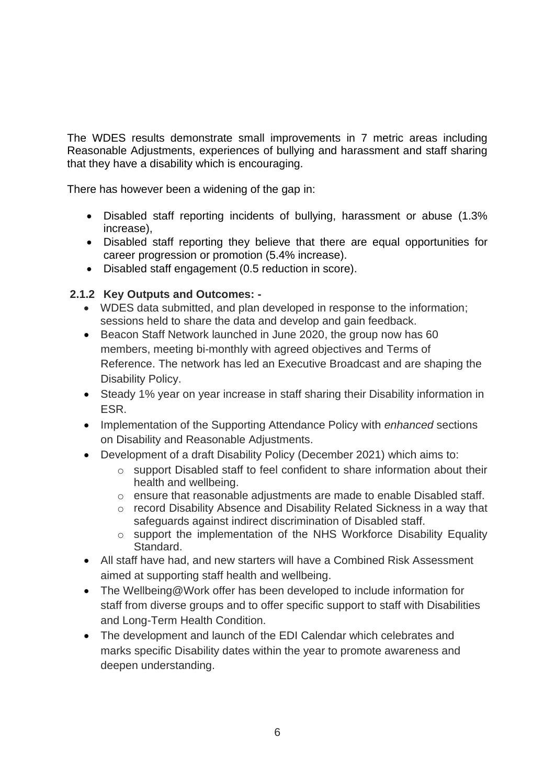The WDES results demonstrate small improvements in 7 metric areas including Reasonable Adjustments, experiences of bullying and harassment and staff sharing that they have a disability which is encouraging.

There has however been a widening of the gap in:

- Disabled staff reporting incidents of bullying, harassment or abuse (1.3% increase),
- Disabled staff reporting they believe that there are equal opportunities for career progression or promotion (5.4% increase).
- Disabled staff engagement (0.5 reduction in score).

### **2.1.2 Key Outputs and Outcomes: -**

- WDES data submitted, and plan developed in response to the information; sessions held to share the data and develop and gain feedback.
- Beacon Staff Network launched in June 2020, the group now has 60 members, meeting bi-monthly with agreed objectives and Terms of Reference. The network has led an Executive Broadcast and are shaping the Disability Policy.
- Steady 1% year on year increase in staff sharing their Disability information in ESR.
- Implementation of the Supporting Attendance Policy with *enhanced* sections on Disability and Reasonable Adjustments.
- Development of a draft Disability Policy (December 2021) which aims to:
	- o support Disabled staff to feel confident to share information about their health and wellbeing.
	- o ensure that reasonable adjustments are made to enable Disabled staff.
	- o record Disability Absence and Disability Related Sickness in a way that safeguards against indirect discrimination of Disabled staff.
	- o support the implementation of the NHS Workforce Disability Equality Standard.
- All staff have had, and new starters will have a Combined Risk Assessment aimed at supporting staff health and wellbeing.
- The Wellbeing@Work offer has been developed to include information for staff from diverse groups and to offer specific support to staff with Disabilities and Long-Term Health Condition.
- The development and launch of the EDI Calendar which celebrates and marks specific Disability dates within the year to promote awareness and deepen understanding.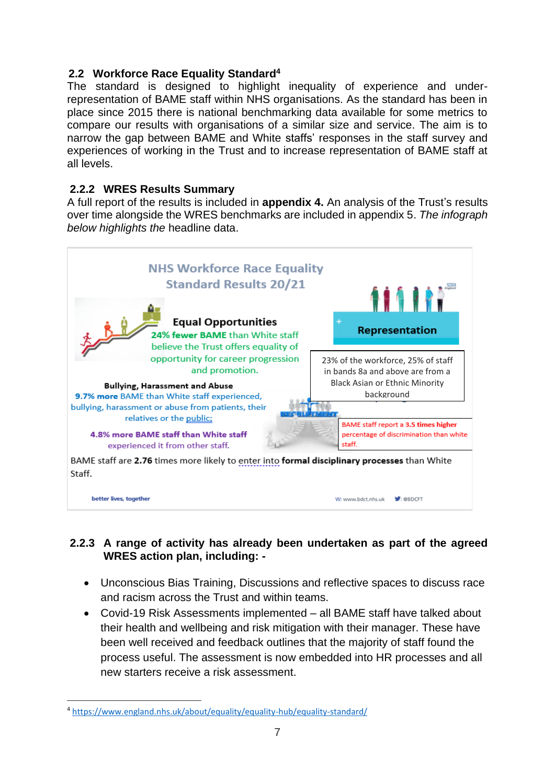### **2.2 Workforce Race Equality Standard<sup>4</sup>**

The standard is designed to highlight inequality of experience and underrepresentation of BAME staff within NHS organisations. As the standard has been in place since 2015 there is national benchmarking data available for some metrics to compare our results with organisations of a similar size and service. The aim is to narrow the gap between BAME and White staffs' responses in the staff survey and experiences of working in the Trust and to increase representation of BAME staff at all levels.

### **2.2.2 WRES Results Summary**

A full report of the results is included in **appendix 4.** An analysis of the Trust's results over time alongside the WRES benchmarks are included in appendix 5. *The infograph below highlights the* headline data.



### 2.2.3 A range of activity has already been undertaken as part of the agreed **WRES action plan, including: -**

- e Unconscious Bias Training, Discussions and reflective spaces to discuss race and racism across the Trust and within teams.
- Covid-19 Risk Assessments implemented all BAME staff have talked about u their health and wellbeing and risk mitigation with their manager. These have been well received and feedback outlines that the majority of staff found the process useful. The assessment is now embedded into HR processes and all new starters receive a risk assessment.

<sup>&</sup>lt;sup>4</sup> <https://www.england.nhs.uk/about/equality/equality-hub/equality-standard/>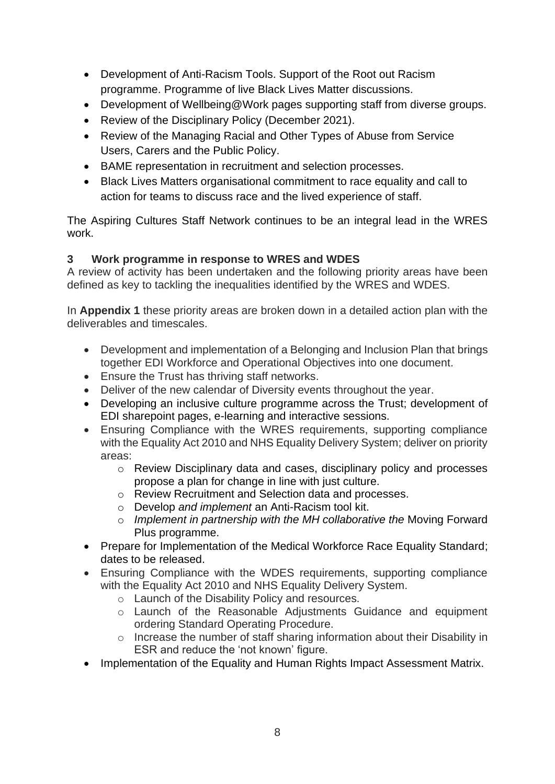- Development of Anti-Racism Tools. Support of the Root out Racism programme. Programme of live Black Lives Matter discussions.
- Development of Wellbeing@Work pages supporting staff from diverse groups.
- Review of the Disciplinary Policy (December 2021).
- Review of the Managing Racial and Other Types of Abuse from Service Users, Carers and the Public Policy.
- BAME representation in recruitment and selection processes.
- Black Lives Matters organisational commitment to race equality and call to action for teams to discuss race and the lived experience of staff.

The Aspiring Cultures Staff Network continues to be an integral lead in the WRES work.

### **3 Work programme in response to WRES and WDES**

A review of activity has been undertaken and the following priority areas have been defined as key to tackling the inequalities identified by the WRES and WDES.

In **Appendix 1** these priority areas are broken down in a detailed action plan with the deliverables and timescales.

- Development and implementation of a Belonging and Inclusion Plan that brings together EDI Workforce and Operational Objectives into one document.
- Ensure the Trust has thriving staff networks.
- Deliver of the new calendar of Diversity events throughout the year.
- Developing an inclusive culture programme across the Trust; development of EDI sharepoint pages, e-learning and interactive sessions.
- Ensuring Compliance with the WRES requirements, supporting compliance with the Equality Act 2010 and NHS Equality Delivery System; deliver on priority areas:
	- o Review Disciplinary data and cases, disciplinary policy and processes propose a plan for change in line with just culture.
	- o Review Recruitment and Selection data and processes.
	- o Develop *and implement* an Anti-Racism tool kit.
	- o *Implement in partnership with the MH collaborative the* Moving Forward Plus programme.
- Prepare for Implementation of the Medical Workforce Race Equality Standard; dates to be released.
- Ensuring Compliance with the WDES requirements, supporting compliance with the Equality Act 2010 and NHS Equality Delivery System.
	- o Launch of the Disability Policy and resources.
	- o Launch of the Reasonable Adjustments Guidance and equipment ordering Standard Operating Procedure.
	- o Increase the number of staff sharing information about their Disability in ESR and reduce the 'not known' figure.
- Implementation of the Equality and Human Rights Impact Assessment Matrix.